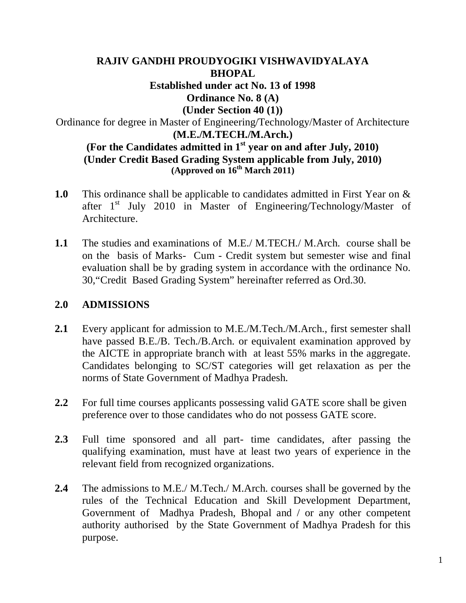## **RAJIV GANDHI PROUDYOGIKI VISHWAVIDYALAYA BHOPAL Established under act No. 13 of 1998 Ordinance No. 8 (A) (Under Section 40 (1))** Ordinance for degree in Master of Engineering/Technology/Master of Architecture **(M.E./M.TECH./M.Arch.) (For the Candidates admitted in 1st year on and after July, 2010) (Under Credit Based Grading System applicable from July, 2010) (Approved on 16th March 2011)**

- **1.0** This ordinance shall be applicable to candidates admitted in First Year on & after  $1<sup>st</sup>$  July 2010 in Master of Engineering/Technology/Master of Architecture.
- **1.1** The studies and examinations of M.E./ M.TECH./ M.Arch. course shall be on the basis of Marks- Cum - Credit system but semester wise and final evaluation shall be by grading system in accordance with the ordinance No. 30,"Credit Based Grading System" hereinafter referred as Ord.30.

## **2.0 ADMISSIONS**

- **2.1** Every applicant for admission to M.E./M.Tech./M.Arch., first semester shall have passed B.E./B. Tech./B.Arch. or equivalent examination approved by the AICTE in appropriate branch with at least 55% marks in the aggregate. Candidates belonging to SC/ST categories will get relaxation as per the norms of State Government of Madhya Pradesh.
- **2.2** For full time courses applicants possessing valid GATE score shall be given preference over to those candidates who do not possess GATE score.
- **2.3** Full time sponsored and all part- time candidates, after passing the qualifying examination, must have at least two years of experience in the relevant field from recognized organizations.
- **2.4** The admissions to M.E./ M.Tech./ M.Arch. courses shall be governed by the rules of the Technical Education and Skill Development Department, Government of Madhya Pradesh, Bhopal and / or any other competent authority authorised by the State Government of Madhya Pradesh for this purpose.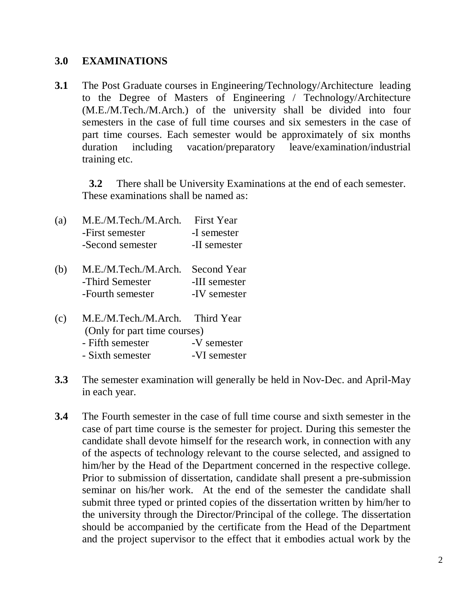### **3.0 EXAMINATIONS**

**3.1** The Post Graduate courses in Engineering/Technology/Architecture leading to the Degree of Masters of Engineering / Technology/Architecture (M.E./M.Tech./M.Arch.) of the university shall be divided into four semesters in the case of full time courses and six semesters in the case of part time courses. Each semester would be approximately of six months duration including vacation/preparatory leave/examination/industrial training etc.

**3.2** There shall be University Examinations at the end of each semester. These examinations shall be named as:

- (a) M.E./M.Tech./M.Arch. First Year -First semester -I semester -Second semester -II semester
- (b) M.E./M.Tech./M.Arch. Second Year -Third Semester -III semester -Fourth semester -IV semester
- (c) M.E./M.Tech./M.Arch. Third Year (Only for part time courses) - Fifth semester -V semester - Sixth semester -VI semester
- **3.3** The semester examination will generally be held in Nov-Dec. and April-May in each year.
- **3.4** The Fourth semester in the case of full time course and sixth semester in the case of part time course is the semester for project. During this semester the candidate shall devote himself for the research work, in connection with any of the aspects of technology relevant to the course selected, and assigned to him/her by the Head of the Department concerned in the respective college. Prior to submission of dissertation, candidate shall present a pre-submission seminar on his/her work. At the end of the semester the candidate shall submit three typed or printed copies of the dissertation written by him/her to the university through the Director/Principal of the college. The dissertation should be accompanied by the certificate from the Head of the Department and the project supervisor to the effect that it embodies actual work by the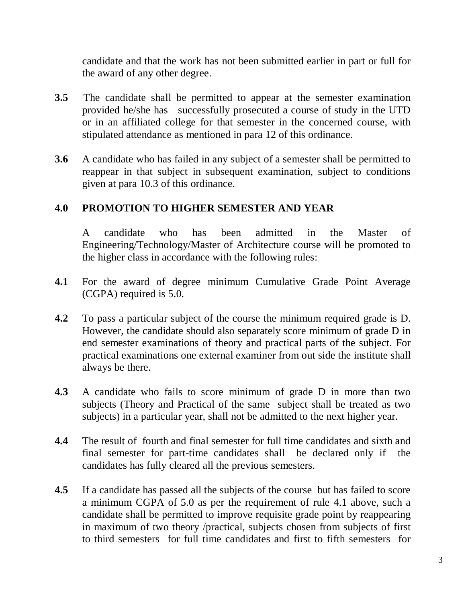candidate and that the work has not been submitted earlier in part or full for the award of any other degree.

- **3.5** The candidate shall be permitted to appear at the semester examination provided he/she has successfully prosecuted a course of study in the UTD or in an affiliated college for that semester in the concerned course, with stipulated attendance as mentioned in para 12 of this ordinance.
- **3.6** A candidate who has failed in any subject of a semester shall be permitted to reappear in that subject in subsequent examination, subject to conditions given at para 10.3 of this ordinance.

# **4.0 PROMOTION TO HIGHER SEMESTER AND YEAR**

A candidate who has been admitted in the Master of Engineering/Technology/Master of Architecture course will be promoted to the higher class in accordance with the following rules:

- **4.1** For the award of degree minimum Cumulative Grade Point Average (CGPA) required is 5.0.
- **4.2** To pass a particular subject of the course the minimum required grade is D. However, the candidate should also separately score minimum of grade D in end semester examinations of theory and practical parts of the subject. For practical examinations one external examiner from out side the institute shall always be there.
- **4.3** A candidate who fails to score minimum of grade D in more than two subjects (Theory and Practical of the same subject shall be treated as two subjects) in a particular year, shall not be admitted to the next higher year.
- **4.4** The result of fourth and final semester for full time candidates and sixth and final semester for part-time candidates shall be declared only if the candidates has fully cleared all the previous semesters.
- **4.5** If a candidate has passed all the subjects of the course but has failed to score a minimum CGPA of 5.0 as per the requirement of rule 4.1 above, such a candidate shall be permitted to improve requisite grade point by reappearing in maximum of two theory /practical, subjects chosen from subjects of first to third semesters for full time candidates and first to fifth semesters for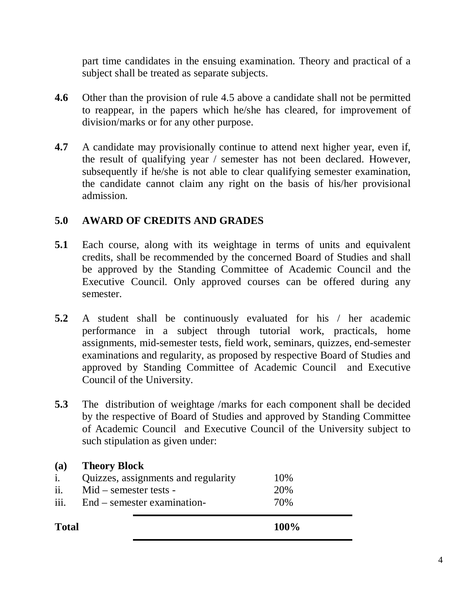part time candidates in the ensuing examination. Theory and practical of a subject shall be treated as separate subjects.

- **4.6** Other than the provision of rule 4.5 above a candidate shall not be permitted to reappear, in the papers which he/she has cleared, for improvement of division/marks or for any other purpose.
- **4.7** A candidate may provisionally continue to attend next higher year, even if, the result of qualifying year / semester has not been declared. However, subsequently if he/she is not able to clear qualifying semester examination, the candidate cannot claim any right on the basis of his/her provisional admission.

# **5.0 AWARD OF CREDITS AND GRADES**

- **5.1** Each course, along with its weightage in terms of units and equivalent credits, shall be recommended by the concerned Board of Studies and shall be approved by the Standing Committee of Academic Council and the Executive Council. Only approved courses can be offered during any semester.
- **5.2** A student shall be continuously evaluated for his / her academic performance in a subject through tutorial work, practicals, home assignments, mid-semester tests, field work, seminars, quizzes, end-semester examinations and regularity, as proposed by respective Board of Studies and approved by Standing Committee of Academic Council and Executive Council of the University.
- **5.3** The distribution of weightage /marks for each component shall be decided by the respective of Board of Studies and approved by Standing Committee of Academic Council and Executive Council of the University subject to such stipulation as given under:

| (a)          | <b>Theory Block</b>                 |      |  |
|--------------|-------------------------------------|------|--|
| i.           | Quizzes, assignments and regularity | 10%  |  |
| ii.          | $Mid$ – semester tests –            | 20%  |  |
| iii.         | End – semester examination-         | 70%  |  |
| <b>Total</b> |                                     | 100% |  |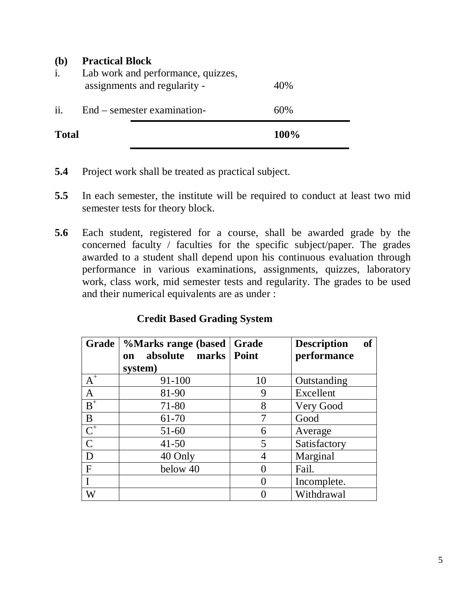#### **(b) Practical Block**

| <b>Total</b>          |                                                                    | 100% |
|-----------------------|--------------------------------------------------------------------|------|
| $\ddot{\mathbf{i}}$ . | End – semester examination-                                        | 60%  |
| 1.                    | Lab work and performance, quizzes,<br>assignments and regularity - | 40%  |

- **5.4** Project work shall be treated as practical subject.
- **5.5** In each semester, the institute will be required to conduct at least two mid semester tests for theory block.
- **5.6** Each student, registered for a course, shall be awarded grade by the concerned faculty / faculties for the specific subject/paper. The grades awarded to a student shall depend upon his continuous evaluation through performance in various examinations, assignments, quizzes, laboratory work, class work, mid semester tests and regularity. The grades to be used and their numerical equivalents are as under :

### **Credit Based Grading System**

| Grade            | %Marks range (based<br>absolute marks<br><b>on</b> | Grade<br>Point   | <b>of</b><br><b>Description</b><br>performance |
|------------------|----------------------------------------------------|------------------|------------------------------------------------|
| $A^+$            | system)<br>91-100                                  | 10               |                                                |
|                  |                                                    |                  | Outstanding                                    |
| $\mathbf{A}$     | 81-90                                              | 9                | Excellent                                      |
| $B^+$            | 71-80                                              | 8                | Very Good                                      |
| B                | 61-70                                              | 7                | Good                                           |
| $\overline{C}^+$ | $51 - 60$                                          | 6                | Average                                        |
| $\mathcal{C}$    | $41 - 50$                                          | 5                | Satisfactory                                   |
| D                | 40 Only                                            | 4                | Marginal                                       |
| $\mathbf{F}$     | below 40                                           |                  | Fail.                                          |
|                  |                                                    | $\left( \right)$ | Incomplete.                                    |
| W                |                                                    |                  | Withdrawal                                     |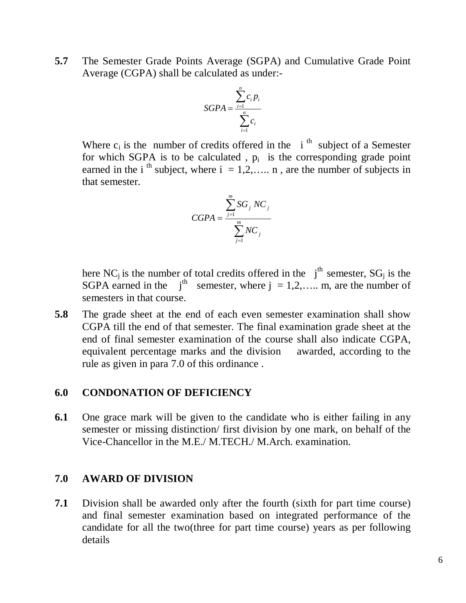**5.7** The Semester Grade Points Average (SGPA) and Cumulative Grade Point Average (CGPA) shall be calculated as under:-

$$
SGPA = \frac{\sum_{i=1}^{n} c_i p_i}{\sum_{i=1}^{n} c_i}
$$

Where  $c_i$  is the number of credits offered in the i<sup>th</sup> subject of a Semester for which SGPA is to be calculated,  $p_i$  is the corresponding grade point earned in the i<sup>th</sup> subject, where  $i = 1, 2, \ldots$  n, are the number of subjects in that semester.

$$
CGPA = \frac{\sum_{j=1}^{m} SG_j NC_j}{\sum_{j=1}^{m} NC_j}
$$

here NC<sub>j</sub> is the number of total credits offered in the  $j<sup>th</sup>$  semester, SG<sub>j</sub> is the SGPA earned in the  $j<sup>th</sup>$  semester, where  $j = 1, 2, \dots$  m, are the number of semesters in that course.

**5.8** The grade sheet at the end of each even semester examination shall show CGPA till the end of that semester. The final examination grade sheet at the end of final semester examination of the course shall also indicate CGPA, equivalent percentage marks and the division awarded, according to the rule as given in para 7.0 of this ordinance .

#### **6.0 CONDONATION OF DEFICIENCY**

**6.1** One grace mark will be given to the candidate who is either failing in any semester or missing distinction/ first division by one mark, on behalf of the Vice-Chancellor in the M.E./ M.TECH./ M.Arch. examination.

#### **7.0 AWARD OF DIVISION**

**7.1** Division shall be awarded only after the fourth (sixth for part time course) and final semester examination based on integrated performance of the candidate for all the two(three for part time course) years as per following details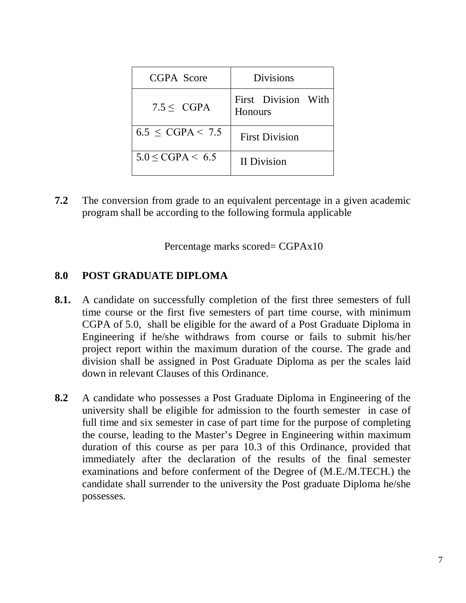| CGPA Score               | <b>Divisions</b>                      |
|--------------------------|---------------------------------------|
| $7.5 \leq CGPA$          | First Division With<br><b>Honours</b> |
| $6.5 \leq CGPA < 7.5$    | <b>First Division</b>                 |
| $5.0 \leq CGPA \leq 6.5$ | <b>II</b> Division                    |

**7.2** The conversion from grade to an equivalent percentage in a given academic program shall be according to the following formula applicable

Percentage marks scored= CGPAx10

## **8.0 POST GRADUATE DIPLOMA**

- **8.1.** A candidate on successfully completion of the first three semesters of full time course or the first five semesters of part time course, with minimum CGPA of 5.0, shall be eligible for the award of a Post Graduate Diploma in Engineering if he/she withdraws from course or fails to submit his/her project report within the maximum duration of the course. The grade and division shall be assigned in Post Graduate Diploma as per the scales laid down in relevant Clauses of this Ordinance.
- **8.2** A candidate who possesses a Post Graduate Diploma in Engineering of the university shall be eligible for admission to the fourth semester in case of full time and six semester in case of part time for the purpose of completing the course, leading to the Master's Degree in Engineering within maximum duration of this course as per para 10.3 of this Ordinance, provided that immediately after the declaration of the results of the final semester examinations and before conferment of the Degree of (M.E./M.TECH.) the candidate shall surrender to the university the Post graduate Diploma he/she possesses.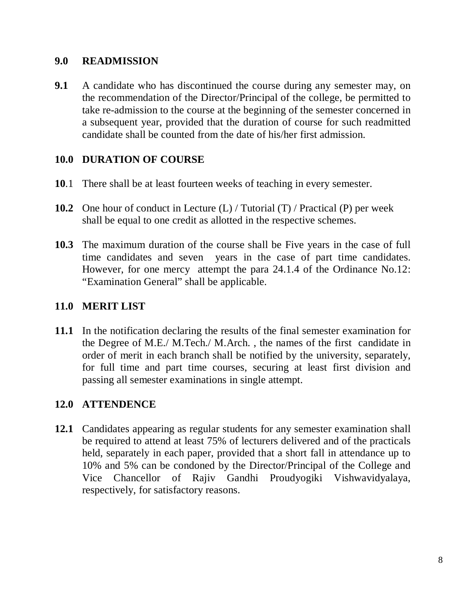## **9.0 READMISSION**

**9.1** A candidate who has discontinued the course during any semester may, on the recommendation of the Director/Principal of the college, be permitted to take re-admission to the course at the beginning of the semester concerned in a subsequent year, provided that the duration of course for such readmitted candidate shall be counted from the date of his/her first admission.

# **10.0 DURATION OF COURSE**

- **10**.1 There shall be at least fourteen weeks of teaching in every semester.
- **10.2** One hour of conduct in Lecture (L) / Tutorial (T) / Practical (P) per week shall be equal to one credit as allotted in the respective schemes.
- **10.3** The maximum duration of the course shall be Five years in the case of full time candidates and seven years in the case of part time candidates. However, for one mercy attempt the para 24.1.4 of the Ordinance No.12: "Examination General" shall be applicable.

# **11.0 MERIT LIST**

**11.1** In the notification declaring the results of the final semester examination for the Degree of M.E./ M.Tech./ M.Arch. , the names of the first candidate in order of merit in each branch shall be notified by the university, separately, for full time and part time courses, securing at least first division and passing all semester examinations in single attempt.

# **12.0 ATTENDENCE**

**12.1** Candidates appearing as regular students for any semester examination shall be required to attend at least 75% of lecturers delivered and of the practicals held, separately in each paper, provided that a short fall in attendance up to 10% and 5% can be condoned by the Director/Principal of the College and Vice Chancellor of Rajiv Gandhi Proudyogiki Vishwavidyalaya, respectively, for satisfactory reasons.